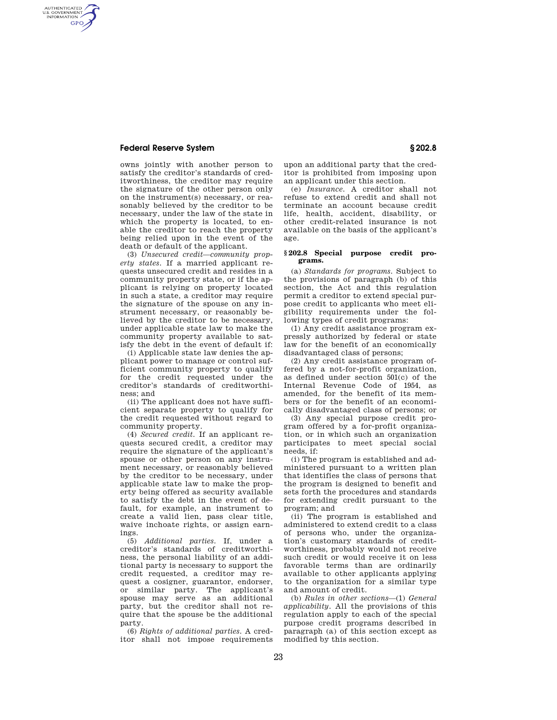## **Federal Reserve System § 202.8**

AUTHENTICATED<br>U.S. GOVERNMENT<br>INFORMATION **GPO** 

> owns jointly with another person to satisfy the creditor's standards of creditworthiness, the creditor may require the signature of the other person only on the instrument(s) necessary, or reasonably believed by the creditor to be necessary, under the law of the state in which the property is located, to enable the creditor to reach the property being relied upon in the event of the death or default of the applicant.

> (3) *Unsecured credit*—*community property states.* If a married applicant requests unsecured credit and resides in a community property state, or if the applicant is relying on property located in such a state, a creditor may require the signature of the spouse on any instrument necessary, or reasonably believed by the creditor to be necessary, under applicable state law to make the community property available to satisfy the debt in the event of default if:

> (i) Applicable state law denies the applicant power to manage or control sufficient community property to qualify for the credit requested under the creditor's standards of creditworthiness; and

> (ii) The applicant does not have sufficient separate property to qualify for the credit requested without regard to community property.

> (4) *Secured credit.* If an applicant requests secured credit, a creditor may require the signature of the applicant's spouse or other person on any instrument necessary, or reasonably believed by the creditor to be necessary, under applicable state law to make the property being offered as security available to satisfy the debt in the event of default, for example, an instrument to create a valid lien, pass clear title, waive inchoate rights, or assign earnings.

> (5) *Additional parties.* If, under a creditor's standards of creditworthiness, the personal liability of an additional party is necessary to support the credit requested, a creditor may request a cosigner, guarantor, endorser, or similar party. The applicant's spouse may serve as an additional party, but the creditor shall not require that the spouse be the additional party.

(6) *Rights of additional parties.* A creditor shall not impose requirements

upon an additional party that the creditor is prohibited from imposing upon an applicant under this section.

(e) *Insurance.* A creditor shall not refuse to extend credit and shall not terminate an account because credit life, health, accident, disability, or other credit-related insurance is not available on the basis of the applicant's age.

## **§ 202.8 Special purpose credit programs.**

(a) *Standards for programs.* Subject to the provisions of paragraph (b) of this section, the Act and this regulation permit a creditor to extend special purpose credit to applicants who meet eligibility requirements under the following types of credit programs:

(1) Any credit assistance program expressly authorized by federal or state law for the benefit of an economically disadvantaged class of persons;

(2) Any credit assistance program offered by a not-for-profit organization, as defined under section 501(c) of the Internal Revenue Code of 1954, as amended, for the benefit of its members or for the benefit of an economically disadvantaged class of persons; or

(3) Any special purpose credit program offered by a for-profit organization, or in which such an organization participates to meet special social needs, if:

(i) The program is established and administered pursuant to a written plan that identifies the class of persons that the program is designed to benefit and sets forth the procedures and standards for extending credit pursuant to the program; and

(ii) The program is established and administered to extend credit to a class of persons who, under the organization's customary standards of creditworthiness, probably would not receive such credit or would receive it on less favorable terms than are ordinarily available to other applicants applying to the organization for a similar type and amount of credit.

(b) *Rules in other sections*—(1) *General applicability.* All the provisions of this regulation apply to each of the special purpose credit programs described in paragraph (a) of this section except as modified by this section.